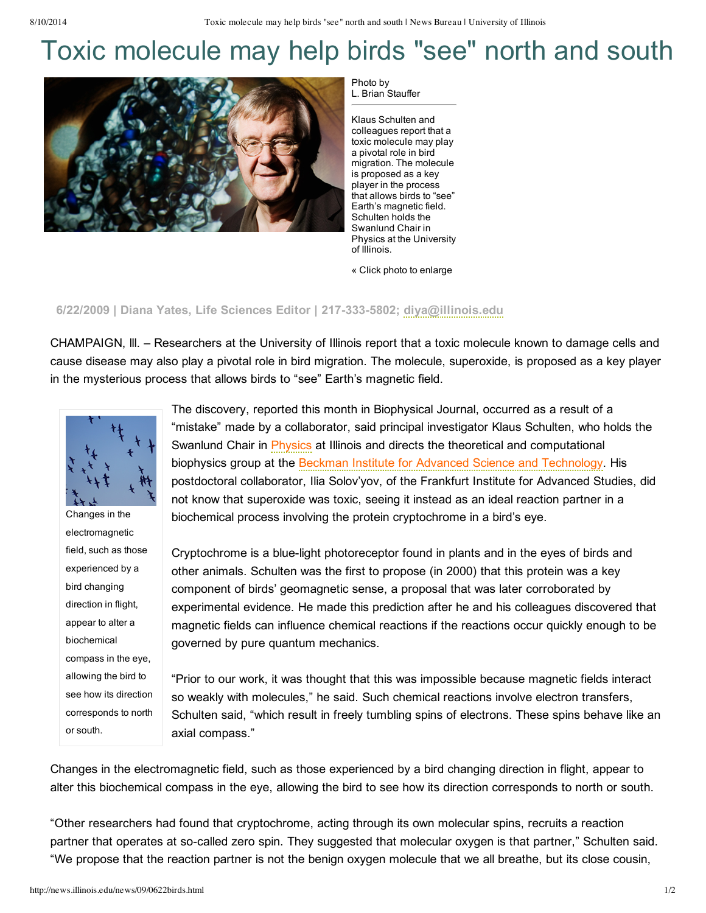## Toxic molecule may help birds "see" north and south



Photo by L. Brian Stauffer

Klaus Schulten and colleagues report that a toxic molecule may play a pivotal role in bird migration. The molecule is proposed as a key player in the process that allows birds to "see" Earth's magnetic field. Schulten holds the Swanlund Chair in Physics at the University of Illinois.

« Click photo to enlarge

## **6/22/2009 | Diana Yates, Life Sciences Editor | 2173335802; [diya@illinois.edu](mailto:diya@illinois.edu)**

CHAMPAIGN, lll. – Researchers at the University of Illinois report that a toxic molecule known to damage cells and cause disease may also play a pivotal role in bird migration. The molecule, superoxide, is proposed as a key player in the mysterious process that allows birds to "see" Earth's magnetic field.



Changes in the electromagnetic field, such as those experienced by a bird changing direction in flight, appear to alter a biochemical compass in the eye, allowing the bird to see how its direction corresponds to north or south.

The discovery, reported this month in Biophysical Journal, occurred as a result of a "mistake" made by a collaborator, said principal investigator Klaus Schulten, who holds the Swanlund Chair in [Physics](http://www.physics.illinois.edu/) at Illinois and directs the theoretical and computational biophysics group at the Beckman Institute for Advanced Science and [Technology](http://www.beckman.illinois.edu/). His postdoctoral collaborator, Ilia Solov'yov, of the Frankfurt Institute for Advanced Studies, did not know that superoxide was toxic, seeing it instead as an ideal reaction partner in a biochemical process involving the protein cryptochrome in a bird's eye.

Cryptochrome is a blue-light photoreceptor found in plants and in the eyes of birds and other animals. Schulten was the first to propose (in 2000) that this protein was a key component of birds' geomagnetic sense, a proposal that was later corroborated by experimental evidence. He made this prediction after he and his colleagues discovered that magnetic fields can influence chemical reactions if the reactions occur quickly enough to be governed by pure quantum mechanics.

"Prior to our work, it was thought that this was impossible because magnetic fields interact so weakly with molecules," he said. Such chemical reactions involve electron transfers, Schulten said, "which result in freely tumbling spins of electrons. These spins behave like an axial compass."

Changes in the electromagnetic field, such as those experienced by a bird changing direction in flight, appear to alter this biochemical compass in the eye, allowing the bird to see how its direction corresponds to north or south.

"Other researchers had found that cryptochrome, acting through its own molecular spins, recruits a reaction partner that operates at so-called zero spin. They suggested that molecular oxygen is that partner," Schulten said. "We propose that the reaction partner is not the benign oxygen molecule that we all breathe, but its close cousin,